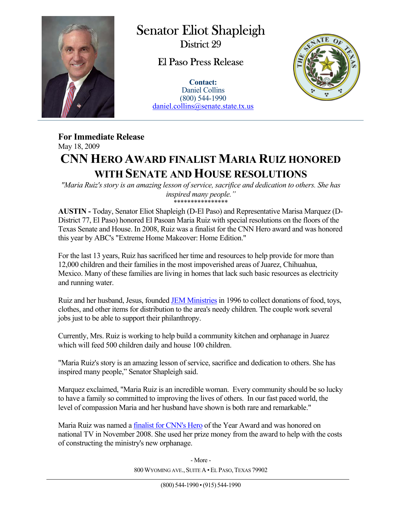

 $\overline{a}$ 

Senator Eliot Shapleigh District 29

## El Paso Press Release

**Contact:** Daniel Collins (800) 544-1990 daniel.collins@senate.state.tx.us



## **For Immediate Release**  May 18, 2009 **CNN HERO AWARD FINALIST MARIA RUIZ HONORED WITH SENATE AND HOUSE RESOLUTIONS**

*"Maria Ruiz's story is an amazing lesson of service, sacrifice and dedication to others. She has inspired many people."*  \*\*\*\*\*\*\*\*\*\*\*\*\*\*\*\*

**AUSTIN -** Today, Senator Eliot Shapleigh (D-El Paso) and Representative Marisa Marquez (D-District 77, El Paso) honored El Pasoan Maria Ruiz with special resolutions on the floors of the Texas Senate and House. In 2008, Ruiz was a finalist for the CNN Hero award and was honored this year by ABC's "Extreme Home Makeover: Home Edition."

For the last 13 years, Ruiz has sacrificed her time and resources to help provide for more than 12,000 children and their families in the most impoverished areas of Juarez, Chihuahua, Mexico. Many of these families are living in homes that lack such basic resources as electricity and running water.

Ruiz and her husband, Jesus, founded JEM Ministries in 1996 to collect donations of food, toys, clothes, and other items for distribution to the area's needy children. The couple work several jobs just to be able to support their philanthropy.

Currently, Mrs. Ruiz is working to help build a community kitchen and orphanage in Juarez which will feed 500 children daily and house 100 children.

"Maria Ruiz's story is an amazing lesson of service, sacrifice and dedication to others. She has inspired many people," Senator Shapleigh said.

Marquez exclaimed, "Maria Ruiz is an incredible woman. Every community should be so lucky to have a family so committed to improving the lives of others. In our fast paced world, the level of compassion Maria and her husband have shown is both rare and remarkable."

Maria Ruiz was named a finalist for CNN's Hero of the Year Award and was honored on national TV in November 2008. She used her prize money from the award to help with the costs of constructing the ministry's new orphanage.

> 800 WYOMING AVE., SUITE A · EL PASO, TEXAS 79902 - More -